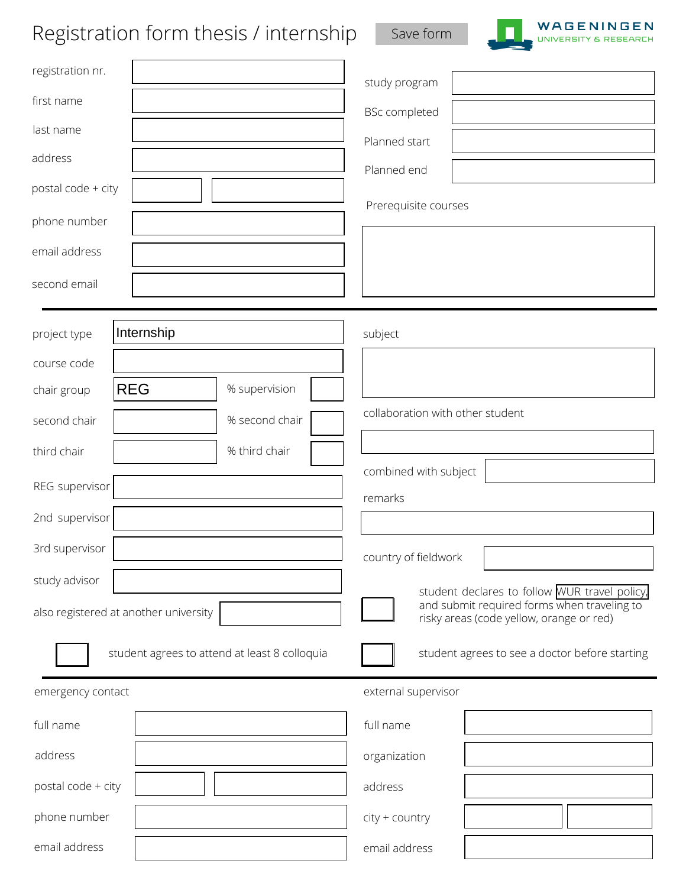## Registration form thesis / internship save form



| Registration form thesis / internship         | Save form<br><b>UNIVERSITY &amp; RESEARCH</b>                                           |
|-----------------------------------------------|-----------------------------------------------------------------------------------------|
| registration nr.                              | study program                                                                           |
| first name                                    | <b>BSc completed</b>                                                                    |
| last name                                     | Planned start                                                                           |
| address                                       | Planned end                                                                             |
| postal code + city                            |                                                                                         |
| phone number                                  | Prerequisite courses                                                                    |
| email address                                 |                                                                                         |
| second email                                  |                                                                                         |
| Internship<br>project type                    | subject                                                                                 |
| course code                                   |                                                                                         |
| <b>REG</b><br>% supervision<br>chair group    |                                                                                         |
| % second chair<br>second chair                | collaboration with other student                                                        |
| % third chair<br>third chair                  |                                                                                         |
| REG supervisor                                | combined with subject                                                                   |
| 2nd supervisor                                | remarks                                                                                 |
| 3rd supervisor                                | country of fieldwork                                                                    |
| study advisor                                 | student declares to follow WUR travel policy,                                           |
| also registered at another university         | and submit required forms when traveling to<br>risky areas (code yellow, orange or red) |
| student agrees to attend at least 8 colloquia | student agrees to see a doctor before starting                                          |
| emergency contact                             | external supervisor                                                                     |
| full name                                     | full name                                                                               |
| address                                       | organization                                                                            |
| postal code + city                            | address                                                                                 |
| phone number                                  | city + country                                                                          |
| email address                                 | email address                                                                           |